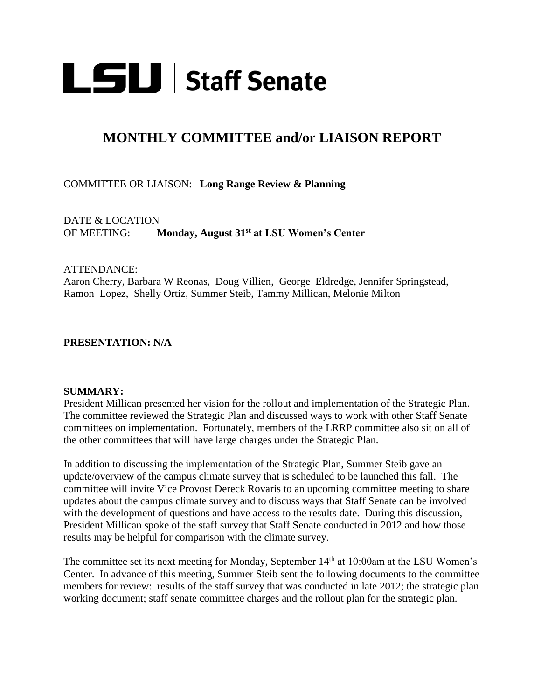

# **MONTHLY COMMITTEE and/or LIAISON REPORT**

## COMMITTEE OR LIAISON: **Long Range Review & Planning**

DATE & LOCATION OF MEETING: **Monday, August 31st at LSU Women's Center**

### ATTENDANCE:

Aaron Cherry, Barbara W Reonas, Doug Villien, George Eldredge, Jennifer Springstead, Ramon Lopez, Shelly Ortiz, Summer Steib, Tammy Millican, Melonie Milton

### **PRESENTATION: N/A**

#### **SUMMARY:**

President Millican presented her vision for the rollout and implementation of the Strategic Plan. The committee reviewed the Strategic Plan and discussed ways to work with other Staff Senate committees on implementation. Fortunately, members of the LRRP committee also sit on all of the other committees that will have large charges under the Strategic Plan.

In addition to discussing the implementation of the Strategic Plan, Summer Steib gave an update/overview of the campus climate survey that is scheduled to be launched this fall. The committee will invite Vice Provost Dereck Rovaris to an upcoming committee meeting to share updates about the campus climate survey and to discuss ways that Staff Senate can be involved with the development of questions and have access to the results date. During this discussion, President Millican spoke of the staff survey that Staff Senate conducted in 2012 and how those results may be helpful for comparison with the climate survey.

The committee set its next meeting for Monday, September 14<sup>th</sup> at 10:00am at the LSU Women's Center. In advance of this meeting, Summer Steib sent the following documents to the committee members for review: results of the staff survey that was conducted in late 2012; the strategic plan working document; staff senate committee charges and the rollout plan for the strategic plan.